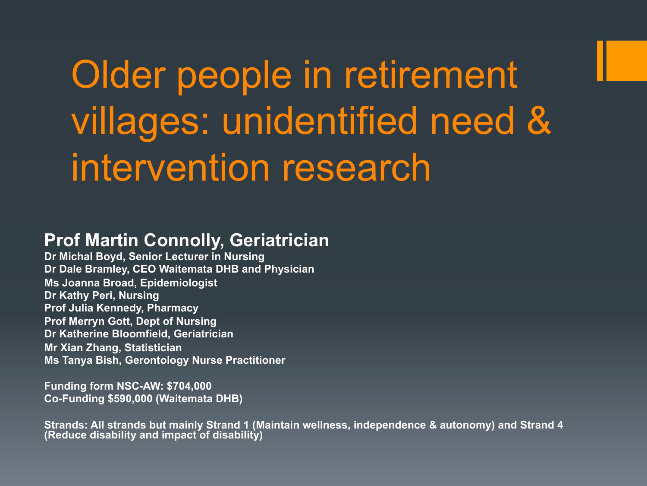# Older people in retirement villages: unidentified need & intervention research

#### **Prof Martin Connolly, Geriatrician**

**Dr Michal Boyd, Senior Lecturer in Nursing Dr Dale Bramley, CEO Waitemata DHB and Physician Ms Joanna Broad, Epidemiologist Dr Kathy Peri, Nursing Prof Julia Kennedy, Pharmacy Prof Merryn Gott, Dept of Nursing Dr Katherine Bloomfield, Geriatrician Mr Xian Zhang, Statistician Ms Tanya Bish, Gerontology Nurse Practitioner** 

**Funding form NSC-AW: \$704,000 Co-Funding \$590,000 (Waitemata DHB)** 

**Strands: All strands but mainly Strand 1 (Maintain wellness, independence & autonomy) and Strand 4 (Reduce disability and impact of disability)**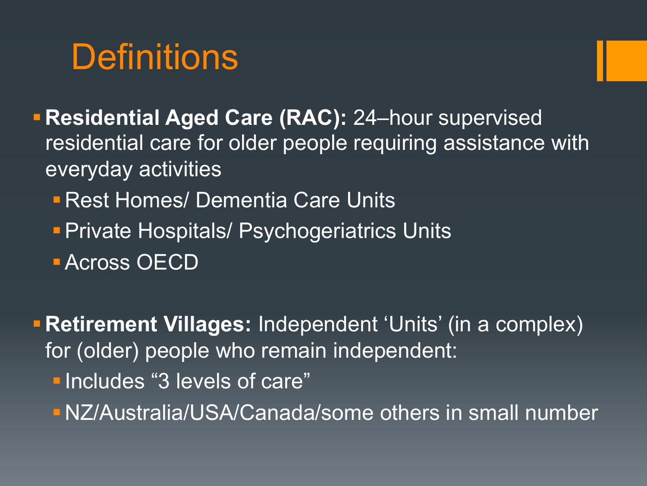## **Definitions**

- §**Residential Aged Care (RAC):** 24–hour supervised residential care for older people requiring assistance with everyday activities
	- **E Rest Homes/ Dementia Care Units**
	- **Private Hospitals/ Psychogeriatrics Units**
	- Across OECD
- **Retirement Villages: Independent 'Units' (in a complex)** for (older) people who remain independent:
	- *Elncludes "3 levels of care"*
	- §NZ/Australia/USA/Canada/some others in small number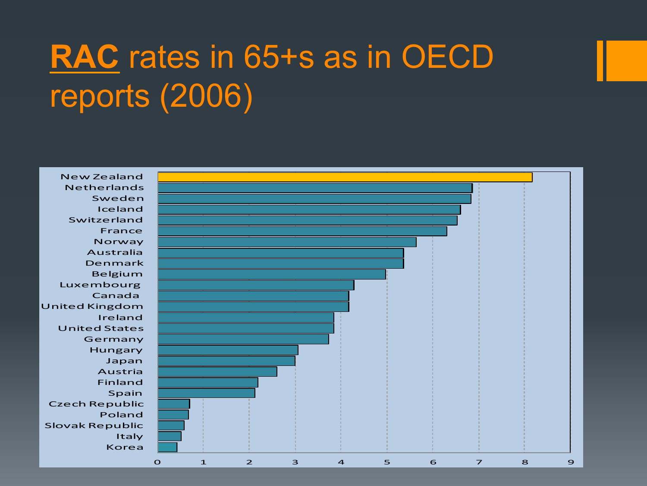## **RAC** rates in 65+s as in OECD reports (2006)

Korea Italy Slovak Republic Poland Czech Republic Spain Finland Austria Japan Hungary Germany United States Ireland United Kingdom Canada Luxembourg Belgium Denmark Australia Norway France Switzerland Iceland Sweden Netherlands

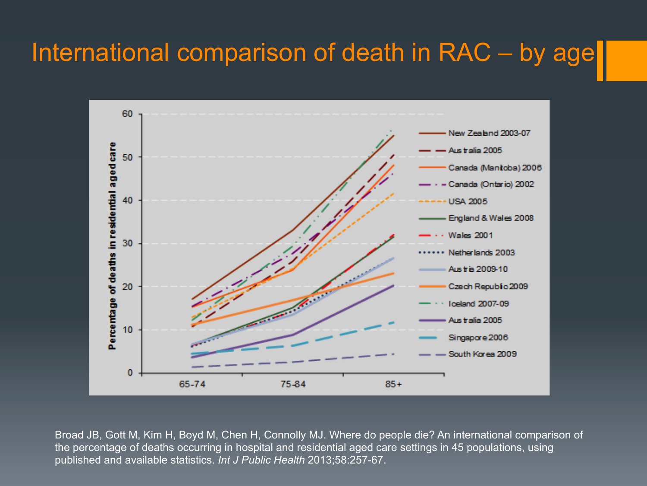#### International comparison of death in RAC – by age



Broad JB, Gott M, Kim H, Boyd M, Chen H, Connolly MJ. Where do people die? An international comparison of the percentage of deaths occurring in hospital and residential aged care settings in 45 populations, using published and available statistics. *Int J Public Health* 2013;58:257-67.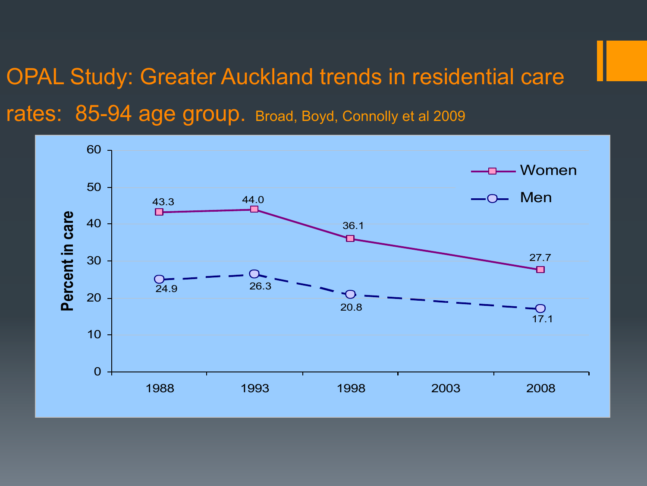#### OPAL Study: Greater Auckland trends in residential care rates: 85-94 age group. Broad, Boyd, Connolly et al 2009

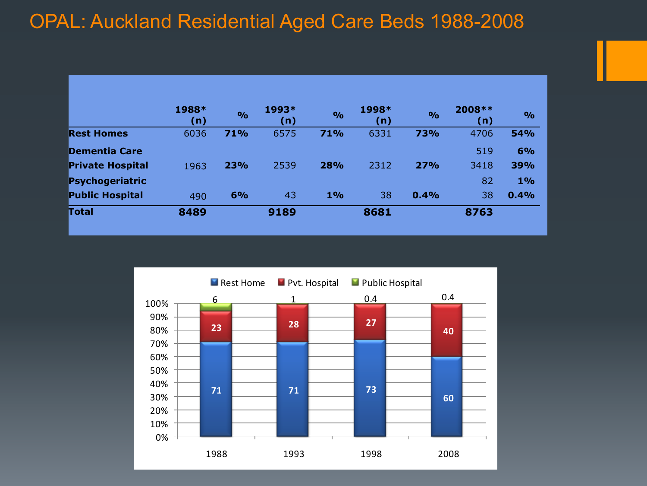#### OPAL: Auckland Residential Aged Care Beds 1988-2008

|                         | 1988*<br>(n) | $\frac{1}{2}$ | 1993*<br>(n) | $\frac{1}{2}$ | 1998*<br>(n) | $\frac{1}{2}$ | 2008 **<br>(n) | $\frac{6}{6}$ |
|-------------------------|--------------|---------------|--------------|---------------|--------------|---------------|----------------|---------------|
| <b>Rest Homes</b>       | 6036         | 71%           | 6575         | 71%           | 6331         | 73%           | 4706           | 54%           |
|                         |              |               |              |               |              |               |                |               |
| Dementia Care           |              |               |              |               |              |               | 519            | 6%            |
| <b>Private Hospital</b> | 1963         | 23%           | 2539         | 28%           | 2312         | 27%           | 3418           | 39%           |
| Psychogeriatric         |              |               |              |               |              |               | 82             | 1%            |
| <b>Public Hospital</b>  | 490          | 6%            | 43           | 1%            | 38           | 0.4%          | 38             | 0.4%          |
| Total                   | 8489         |               | 9189         |               | 8681         |               | 8763           |               |
|                         |              |               |              |               |              |               |                |               |

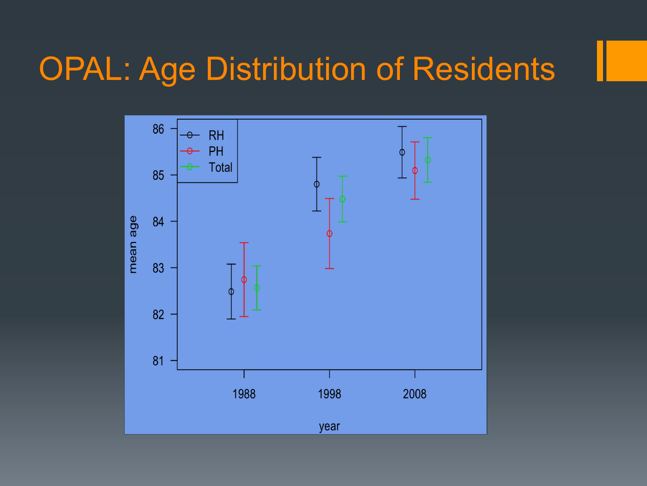#### OPAL: Age Distribution of Residents

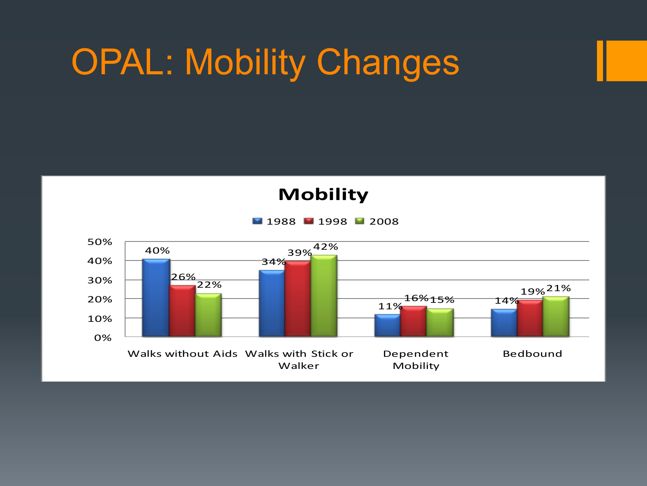# OPAL: Mobility Changes

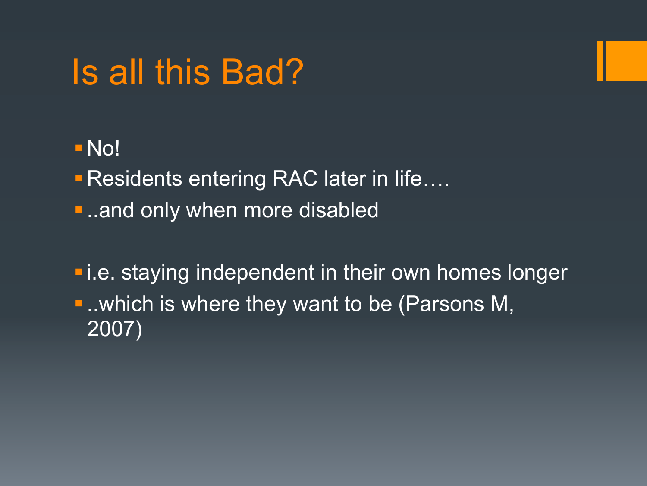## Is all this Bad?

- §No!
- **Residents entering RAC later in life....**
- ..and only when more disabled
- **E.** i.e. staying independent in their own homes longer ■ ..which is where they want to be (Parsons M, 2007)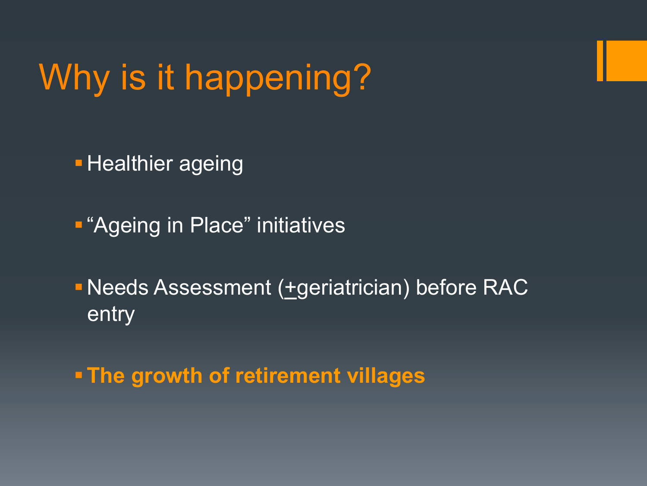# Why is it happening?

**• Healthier ageing** 

■ "Ageing in Place" initiatives

■ Needs Assessment (+geriatrician) before RAC entry

§**The growth of retirement villages**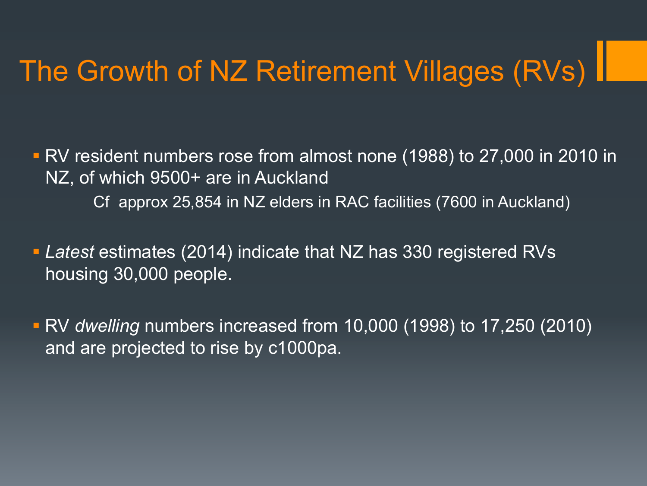### The Growth of NZ Retirement Villages (RVs)

§ RV resident numbers rose from almost none (1988) to 27,000 in 2010 in NZ, of which 9500+ are in Auckland Cf approx 25,854 in NZ elders in RAC facilities (7600 in Auckland)

§ *Latest* estimates (2014) indicate that NZ has 330 registered RVs housing 30,000 people.

§ RV *dwelling* numbers increased from 10,000 (1998) to 17,250 (2010) and are projected to rise by c1000pa.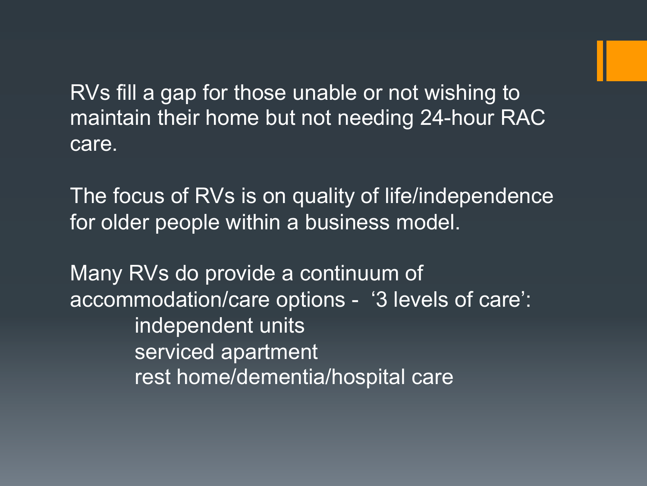RVs fill a gap for those unable or not wishing to maintain their home but not needing 24-hour RAC care.

The focus of RVs is on quality of life/independence for older people within a business model.

Many RVs do provide a continuum of accommodation/care options - '3 levels of care': independent units serviced apartment rest home/dementia/hospital care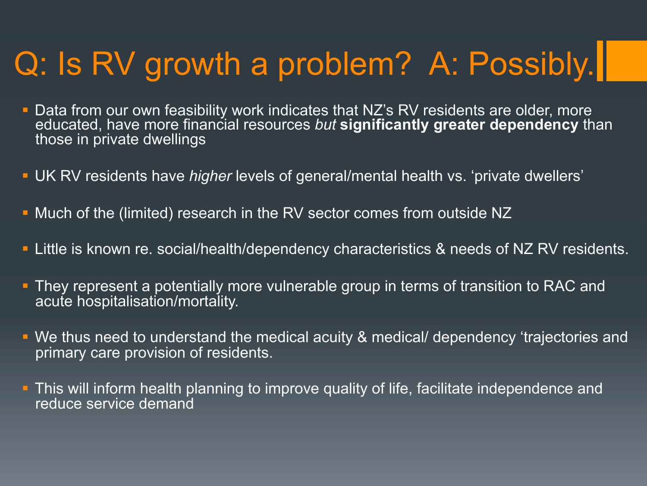## Q: Is RV growth a problem? A: Possibly.

- Data from our own feasibility work indicates that NZ's RV residents are older, more educated, have more financial resources *but* **significantly greater dependency** than those in private dwellings
- § UK RV residents have *higher* levels of general/mental health vs. 'private dwellers'
- § Much of the (limited) research in the RV sector comes from outside NZ
- **EXTEE is known re. social/health/dependency characteristics & needs of NZ RV residents.**
- **They represent a potentially more vulnerable group in terms of transition to RAC and** acute hospitalisation/mortality.
- § We thus need to understand the medical acuity & medical/ dependency 'trajectories and primary care provision of residents.
- **•** This will inform health planning to improve quality of life, facilitate independence and reduce service demand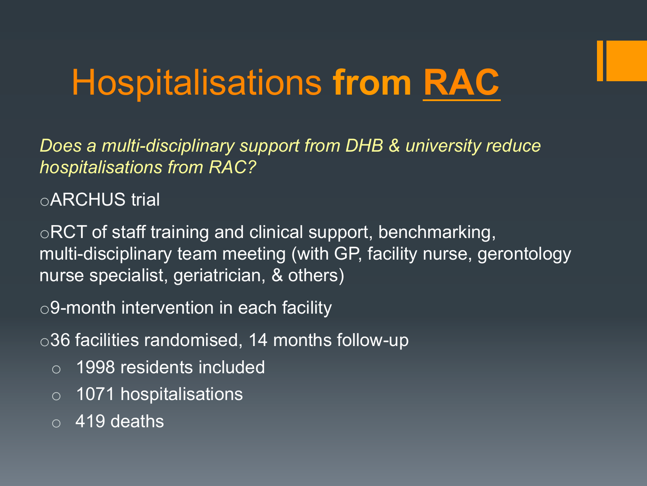# Hospitalisations **from RAC**

*Does a multi-disciplinary support from DHB & university reduce hospitalisations from RAC?* 

oARCHUS trial

oRCT of staff training and clinical support, benchmarking, multi-disciplinary team meeting (with GP, facility nurse, gerontology nurse specialist, geriatrician, & others)

o9-month intervention in each facility

o36 facilities randomised, 14 months follow-up

- o 1998 residents included
- o 1071 hospitalisations
- $\circ$  419 deaths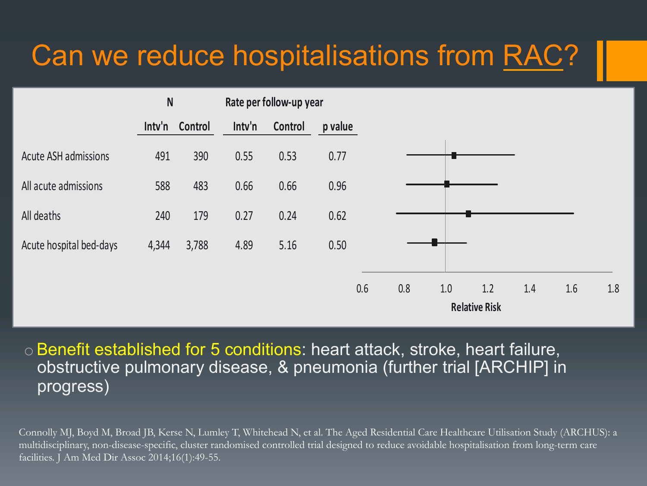#### Can we reduce hospitalisations from RAC?



 $\circ$  Benefit established for 5 conditions: heart attack, stroke, heart failure, obstructive pulmonary disease, & pneumonia (further trial [ARCHIP] in progress)

Connolly MJ, Boyd M, Broad JB, Kerse N, Lumley T, Whitehead N, et al. The Aged Residential Care Healthcare Utilisation Study (ARCHUS): a multidisciplinary, non-disease-specific, cluster randomised controlled trial designed to reduce avoidable hospitalisation from long-term care facilities. J Am Med Dir Assoc 2014;16(1):49-55.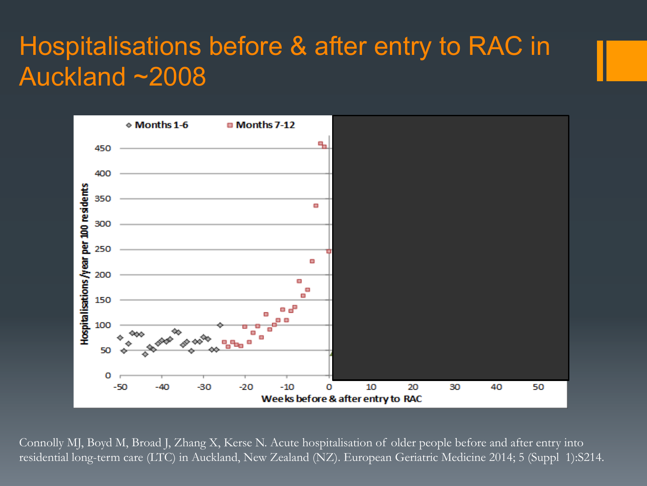#### Hospitalisations before & after entry to RAC in Auckland ~2008



Connolly MJ, Boyd M, Broad J, Zhang X, Kerse N. Acute hospitalisation of older people before and after entry into residential long-term care (LTC) in Auckland, New Zealand (NZ). European Geriatric Medicine 2014; 5 (Suppl 1):S214.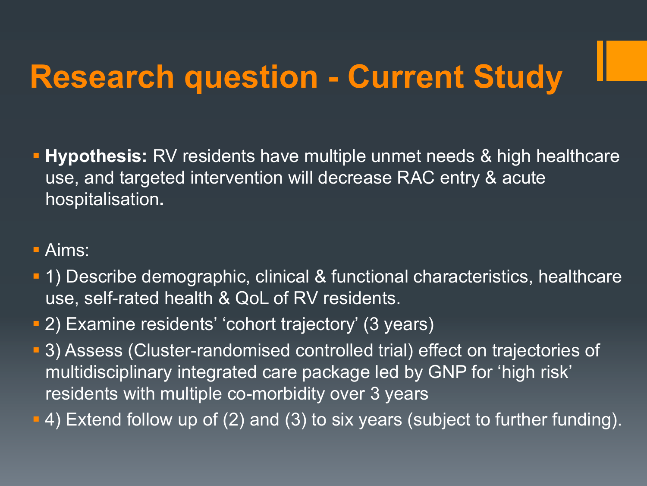## **Research question - Current Study**

- § **Hypothesis:** RV residents have multiple unmet needs & high healthcare use, and targeted intervention will decrease RAC entry & acute hospitalisation**.**
- § Aims:
- § 1) Describe demographic, clinical & functional characteristics, healthcare use, self-rated health & QoL of RV residents.
- § 2) Examine residents' 'cohort trajectory' (3 years)
- § 3) Assess (Cluster-randomised controlled trial) effect on trajectories of multidisciplinary integrated care package led by GNP for 'high risk' residents with multiple co-morbidity over 3 years
- **4) Extend follow up of (2) and (3) to six years (subject to further funding).**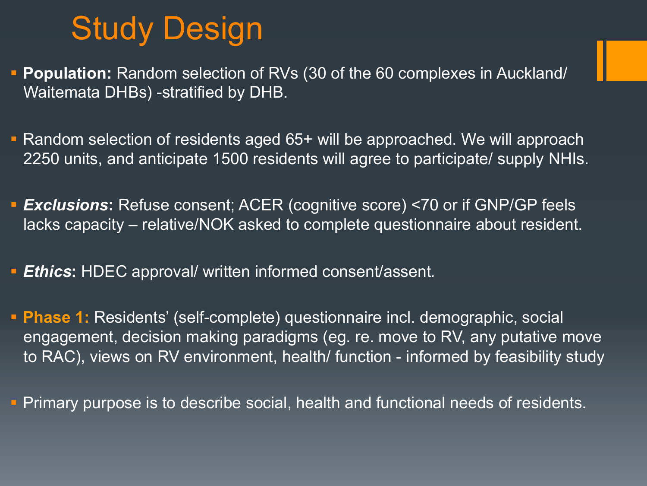### Study Design

- § **Population:** Random selection of RVs (30 of the 60 complexes in Auckland/ Waitemata DHBs) -stratified by DHB.
- § Random selection of residents aged 65+ will be approached. We will approach 2250 units, and anticipate 1500 residents will agree to participate/ supply NHIs.
- § *Exclusions***:** Refuse consent; ACER (cognitive score) <70 or if GNP/GP feels lacks capacity – relative/NOK asked to complete questionnaire about resident.
- § *Ethics***:** HDEC approval/ written informed consent/assent*.*
- § **Phase 1:** Residents' (self-complete) questionnaire incl. demographic, social engagement, decision making paradigms (eg. re. move to RV, any putative move to RAC), views on RV environment, health/ function - informed by feasibility study

§ Primary purpose is to describe social, health and functional needs of residents.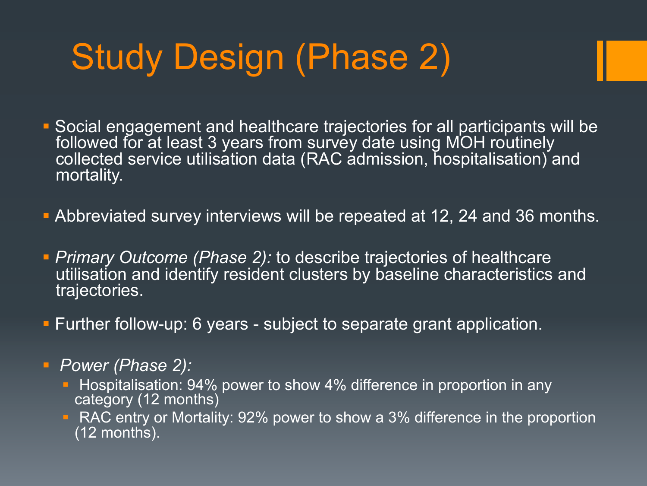# Study Design (Phase 2)

- § Social engagement and healthcare trajectories for all participants will be followed for at least 3 years from survey date using MOH routinely collected service utilisation data (RAC admission, hospitalisation) and mortality.
- **Abbreviated survey interviews will be repeated at 12, 24 and 36 months.**
- **Primary Outcome (Phase 2): to describe trajectories of healthcare** utilisation and identify resident clusters by baseline characteristics and trajectories.
- **Further follow-up: 6 years subject to separate grant application.**
- § *Power (Phase 2):* 
	- **Hospitalisation: 94% power to show 4% difference in proportion in any** category (12 months)
	- RAC entry or Mortality: 92% power to show a 3% difference in the proportion (12 months).